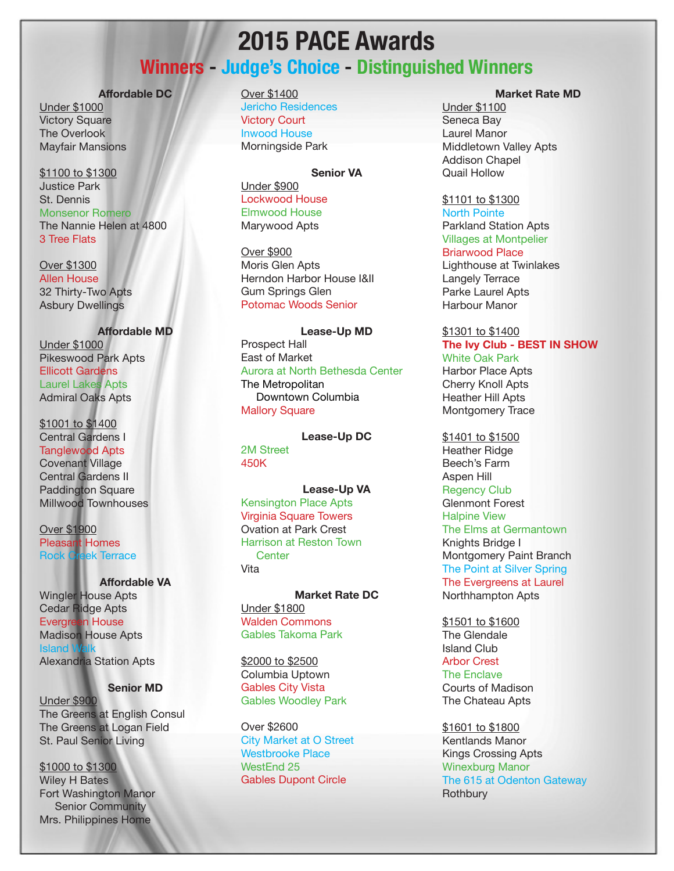## **2015 PACE Awards**

## **Winners - Judge's Choice - Distinguished Winners**

#### **Affordable DC**

Under \$1000 Victory Square The Overlook Mayfair Mansions

\$1100 to \$1300 Justice Park St. Dennis Monsenor Romero The Nannie Helen at 4800 3 Tree Flats

Over \$1300 Allen House 32 Thirty-Two Apts Asbury Dwellings

**Affordable MD** Under \$1000 Pikeswood Park Apts Ellicott Gardens Laurel Lakes Apts Admiral Oaks Apts

\$1001 to \$1400 Central Gardens I Tanglewood Apts Covenant Village Central Gardens II Paddington Square Millwood Townhouses

Over \$1900 Pleasant Homes Rock Creek Terrace

#### **Affordable VA**

Wingler House Apts Cedar Ridge Apts Evergreen House Madison House Apts **Island** Alexandria Station Apts

**Senior MD**

Under \$900 The Greens at English Consul The Greens at Logan Field St. Paul Senior Living

\$1000 to \$1300 Wiley H Bates Fort Washington Manor Senior Community Mrs. Philippines Home

### Over \$1400

Jericho Residences Victory Court Inwood House Morningside Park

#### **Senior VA**

Under \$900 Lockwood House Elmwood House Marywood Apts

Over \$900 Moris Glen Apts Herndon Harbor House I&II Gum Springs Glen Potomac Woods Senior

**Lease-Up MD**

Prospect Hall East of Market Aurora at North Bethesda Center The Metropolitan Downtown Columbia Mallory Square

**Lease-Up DC** 2M Street 450K

#### **Lease-Up VA**

Kensington Place Apts Virginia Square Towers Ovation at Park Crest Harrison at Reston Town **Center** Vita

#### **Market Rate DC** Under \$1800 Walden Commons

Gables Takoma Park

\$2000 to \$2500 Columbia Uptown Gables City Vista Gables Woodley Park

Over \$2600 City Market at O Street Westbrooke Place WestEnd 25 Gables Dupont Circle

#### **Market Rate MD**

Under \$1100 Seneca Bay Laurel Manor Middletown Valley Apts Addison Chapel Quail Hollow

\$1101 to \$1300 North Pointe Parkland Station Apts Villages at Montpelier Briarwood Place Lighthouse at Twinlakes Langely Terrace Parke Laurel Apts Harbour Manor

#### \$1301 to \$1400 **The Ivy Club - BEST IN SHOW** White Oak Park

Harbor Place Apts Cherry Knoll Apts Heather Hill Apts Montgomery Trace

\$1401 to \$1500 Heather Ridge Beech's Farm Aspen Hill Regency Club Glenmont Forest Halpine View The Elms at Germantown Knights Bridge I Montgomery Paint Branch The Point at Silver Spring The Evergreens at Laurel Northhampton Apts

\$1501 to \$1600 The Glendale Island Club Arbor Crest The Enclave Courts of Madison The Chateau Apts

\$1601 to \$1800 Kentlands Manor Kings Crossing Apts Winexburg Manor The 615 at Odenton Gateway **Rothbury**